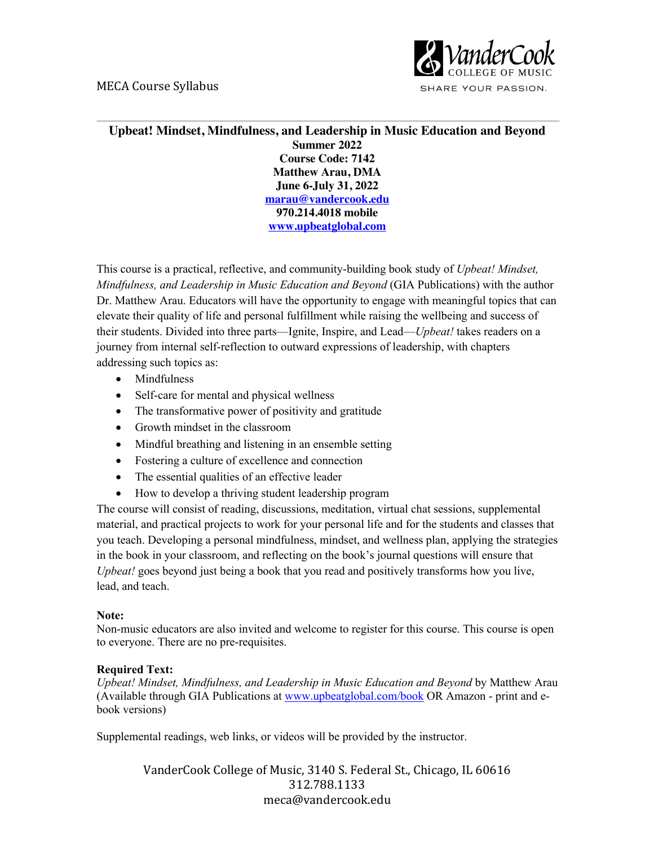## MECA Course Syllabus



SHARE YOUR PASSION.

## **Upbeat! Mindset, Mindfulness, and Leadership in Music Education and Beyond Summer 2022 Course Code: 7142 Matthew Arau, DMA June 6-July 31, 2022 marau@vandercook.edu 970.214.4018 mobile www.upbeatglobal.com**

This course is a practical, reflective, and community-building book study of *Upbeat! Mindset, Mindfulness, and Leadership in Music Education and Beyond* (GIA Publications) with the author Dr. Matthew Arau. Educators will have the opportunity to engage with meaningful topics that can elevate their quality of life and personal fulfillment while raising the wellbeing and success of their students. Divided into three parts—Ignite, Inspire, and Lead—*Upbeat!* takes readers on a journey from internal self-reflection to outward expressions of leadership, with chapters addressing such topics as:

- Mindfulness
- Self-care for mental and physical wellness
- The transformative power of positivity and gratitude
- Growth mindset in the classroom
- Mindful breathing and listening in an ensemble setting
- Fostering a culture of excellence and connection
- The essential qualities of an effective leader
- How to develop a thriving student leadership program

The course will consist of reading, discussions, meditation, virtual chat sessions, supplemental material, and practical projects to work for your personal life and for the students and classes that you teach. Developing a personal mindfulness, mindset, and wellness plan, applying the strategies in the book in your classroom, and reflecting on the book's journal questions will ensure that *Upbeat!* goes beyond just being a book that you read and positively transforms how you live, lead, and teach.

## **Note:**

Non-music educators are also invited and welcome to register for this course. This course is open to everyone. There are no pre-requisites.

### **Required Text:**

*Upbeat! Mindset, Mindfulness, and Leadership in Music Education and Beyond* by Matthew Arau (Available through GIA Publications at www.upbeatglobal.com/book OR Amazon - print and ebook versions)

Supplemental readings, web links, or videos will be provided by the instructor.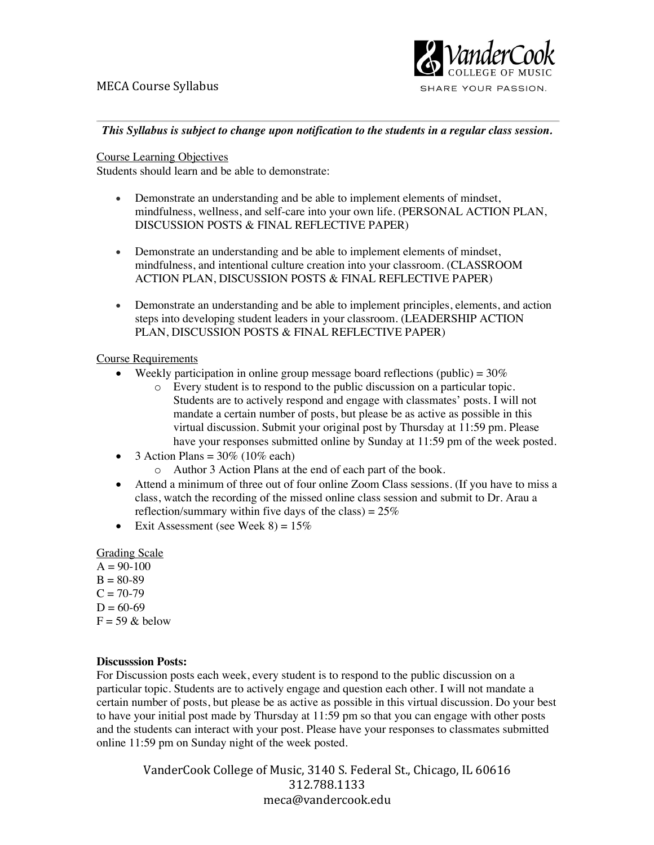

*This Syllabus is subject to change upon notification to the students in a regular class session.*

### Course Learning Objectives

Students should learn and be able to demonstrate:

- Demonstrate an understanding and be able to implement elements of mindset, mindfulness, wellness, and self-care into your own life. (PERSONAL ACTION PLAN, DISCUSSION POSTS & FINAL REFLECTIVE PAPER)
- Demonstrate an understanding and be able to implement elements of mindset, mindfulness, and intentional culture creation into your classroom. (CLASSROOM ACTION PLAN, DISCUSSION POSTS & FINAL REFLECTIVE PAPER)
- Demonstrate an understanding and be able to implement principles, elements, and action steps into developing student leaders in your classroom. (LEADERSHIP ACTION PLAN, DISCUSSION POSTS & FINAL REFLECTIVE PAPER)

### Course Requirements

- Weekly participation in online group message board reflections (public) =  $30\%$ 
	- o Every student is to respond to the public discussion on a particular topic. Students are to actively respond and engage with classmates' posts. I will not mandate a certain number of posts, but please be as active as possible in this virtual discussion. Submit your original post by Thursday at  $11:59$  pm. Please have your responses submitted online by Sunday at 11:59 pm of the week posted.
- 3 Action Plans  $= 30\%$  (10\% each)
	- o Author 3 Action Plans at the end of each part of the book.
- Attend a minimum of three out of four online Zoom Class sessions. (If you have to miss a class, watch the recording of the missed online class session and submit to Dr. Arau a reflection/summary within five days of the class) =  $25\%$
- Exit Assessment (see Week  $8 = 15\%$

### Grading Scale

- $A = 90-100$
- $B = 80-89$
- $C = 70-79$
- $D = 60-69$
- $F = 59$  & below

### **Discusssion Posts:**

For Discussion posts each week, every student is to respond to the public discussion on a particular topic. Students are to actively engage and question each other. I will not mandate a certain number of posts, but please be as active as possible in this virtual discussion. Do your best to have your initial post made by Thursday at 11:59 pm so that you can engage with other posts and the students can interact with your post. Please have your responses to classmates submitted online 11:59 pm on Sunday night of the week posted.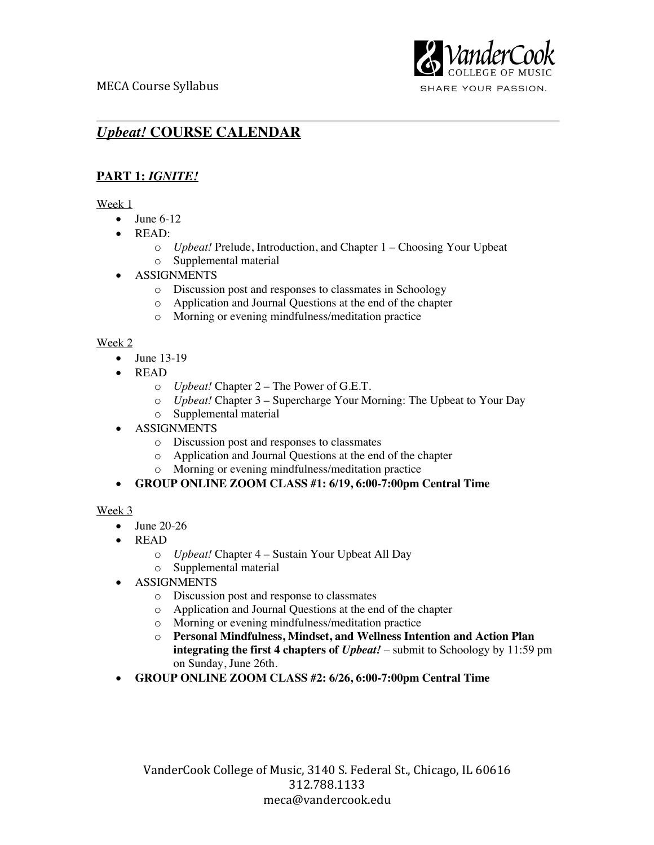

SHARE YOUR PASSION.

# *Upbeat!* **COURSE CALENDAR**

## **PART 1:** *IGNITE!*

## Week 1

- June  $6-12$
- READ:
	- o *Upbeat!* Prelude, Introduction, and Chapter 1 Choosing Your Upbeat
	- o Supplemental material
- ASSIGNMENTS
	- o Discussion post and responses to classmates in Schoology
	- o Application and Journal Questions at the end of the chapter
	- o Morning or evening mindfulness/meditation practice

## Week 2

- June 13-19
- READ
	- o *Upbeat!* Chapter 2 The Power of G.E.T.
	- o *Upbeat!* Chapter 3 Supercharge Your Morning: The Upbeat to Your Day
	- o Supplemental material
- ASSIGNMENTS
	- o Discussion post and responses to classmates
	- o Application and Journal Questions at the end of the chapter
	- o Morning or evening mindfulness/meditation practice

## • **GROUP ONLINE ZOOM CLASS #1: 6/19, 6:00-7:00pm Central Time**

## Week 3

- June 20-26
- READ
	- o *Upbeat!* Chapter 4 Sustain Your Upbeat All Day
	- o Supplemental material
- ASSIGNMENTS
	- o Discussion post and response to classmates
	- o Application and Journal Questions at the end of the chapter
	- o Morning or evening mindfulness/meditation practice
	- o **Personal Mindfulness, Mindset, and Wellness Intention and Action Plan integrating the first 4 chapters of** *Upbeat!* – submit to Schoology by 11:59 pm on Sunday, June 26th.
- **GROUP ONLINE ZOOM CLASS #2: 6/26, 6:00-7:00pm Central Time**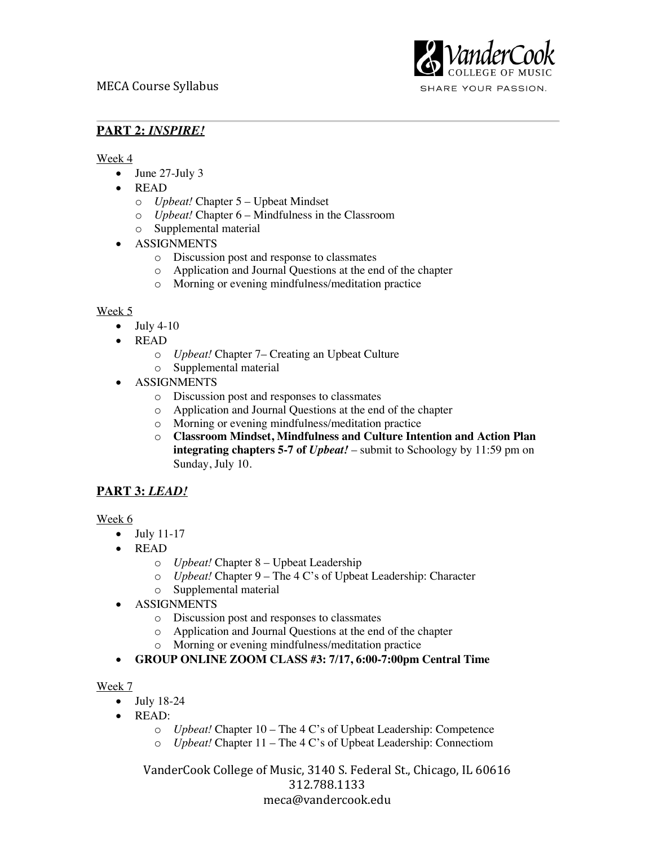

**PART 2:** *INSPIRE!*

Week 4

- June 27-July 3
- READ
	- o *Upbeat!* Chapter 5 Upbeat Mindset
	- o *Upbeat!* Chapter 6 Mindfulness in the Classroom
	- o Supplemental material
- ASSIGNMENTS
	- o Discussion post and response to classmates
	- o Application and Journal Questions at the end of the chapter
	- o Morning or evening mindfulness/meditation practice

### Week 5

- $\bullet$  July 4-10
- READ
	- o *Upbeat!* Chapter 7– Creating an Upbeat Culture
	- o Supplemental material
- ASSIGNMENTS
	- o Discussion post and responses to classmates
	- o Application and Journal Questions at the end of the chapter
	- o Morning or evening mindfulness/meditation practice
	- o **Classroom Mindset, Mindfulness and Culture Intention and Action Plan integrating chapters 5-7 of** *Upbeat!* – submit to Schoology by 11:59 pm on Sunday, July 10.

## **PART 3:** *LEAD!*

### Week 6

- July 11-17
- READ
	- o *Upbeat!* Chapter 8 Upbeat Leadership
	- o *Upbeat!* Chapter 9 The 4 C's of Upbeat Leadership: Character
	- o Supplemental material
- ASSIGNMENTS
	- o Discussion post and responses to classmates
	- o Application and Journal Questions at the end of the chapter
	- o Morning or evening mindfulness/meditation practice
- **GROUP ONLINE ZOOM CLASS #3: 7/17, 6:00-7:00pm Central Time**

### Week 7

- July 18-24
- READ:
	- o *Upbeat!* Chapter 10 The 4 C's of Upbeat Leadership: Competence
	- o *Upbeat!* Chapter 11 The 4 C's of Upbeat Leadership: Connectiom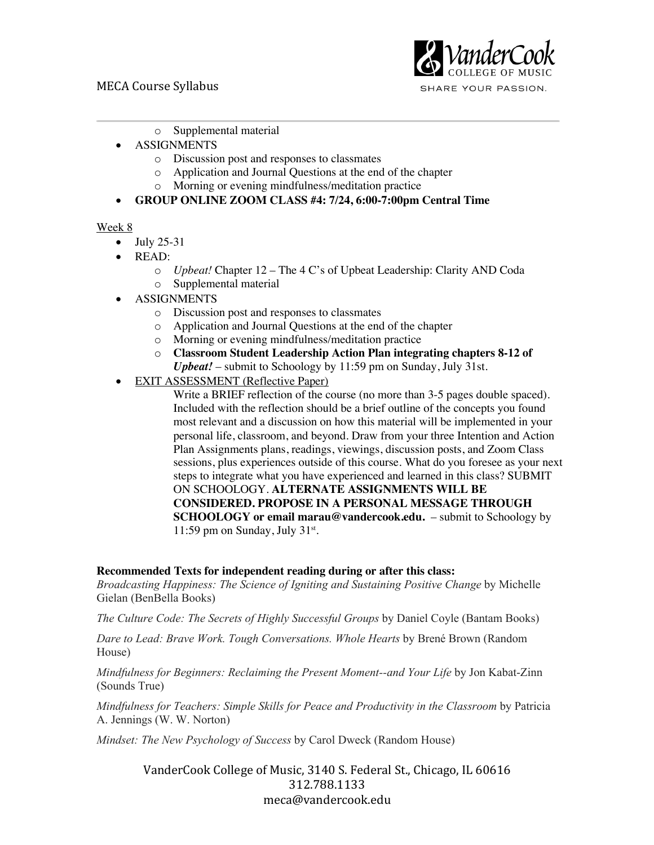## MECA Course Syllabus



SHARE YOUR PASSION.

- o Supplemental material
- ASSIGNMENTS
	- o Discussion post and responses to classmates
	- o Application and Journal Questions at the end of the chapter
	- o Morning or evening mindfulness/meditation practice

## • **GROUP ONLINE ZOOM CLASS #4: 7/24, 6:00-7:00pm Central Time**

### Week 8

- $\bullet$  July 25-31
- READ:
	- o *Upbeat!* Chapter 12 The 4 C's of Upbeat Leadership: Clarity AND Coda o Supplemental material
- ASSIGNMENTS
	- o Discussion post and responses to classmates
	- o Application and Journal Questions at the end of the chapter
	- o Morning or evening mindfulness/meditation practice
	- o **Classroom Student Leadership Action Plan integrating chapters 8-12 of**  *Upbeat!* – submit to Schoology by 11:59 pm on Sunday, July 31st.
- **EXIT ASSESSMENT (Reflective Paper)**

Write a BRIEF reflection of the course (no more than 3-5 pages double spaced). Included with the reflection should be a brief outline of the concepts you found most relevant and a discussion on how this material will be implemented in your personal life, classroom, and beyond. Draw from your three Intention and Action Plan Assignments plans, readings, viewings, discussion posts, and Zoom Class sessions, plus experiences outside of this course. What do you foresee as your next steps to integrate what you have experienced and learned in this class? SUBMIT ON SCHOOLOGY. **ALTERNATE ASSIGNMENTS WILL BE CONSIDERED. PROPOSE IN A PERSONAL MESSAGE THROUGH SCHOOLOGY or email marau@vandercook.edu.** – submit to Schoology by 11:59 pm on Sunday, July  $31^{st}$ .

### **Recommended Texts for independent reading during or after this class:**

*Broadcasting Happiness: The Science of Igniting and Sustaining Positive Change* by Michelle Gielan (BenBella Books)

*The Culture Code: The Secrets of Highly Successful Groups* by Daniel Coyle (Bantam Books)

*Dare to Lead: Brave Work. Tough Conversations. Whole Hearts* by Brené Brown (Random House)

*Mindfulness for Beginners: Reclaiming the Present Moment--and Your Life* by Jon Kabat-Zinn (Sounds True)

*Mindfulness for Teachers: Simple Skills for Peace and Productivity in the Classroom* by Patricia A. Jennings (W. W. Norton)

*Mindset: The New Psychology of Success* by Carol Dweck (Random House)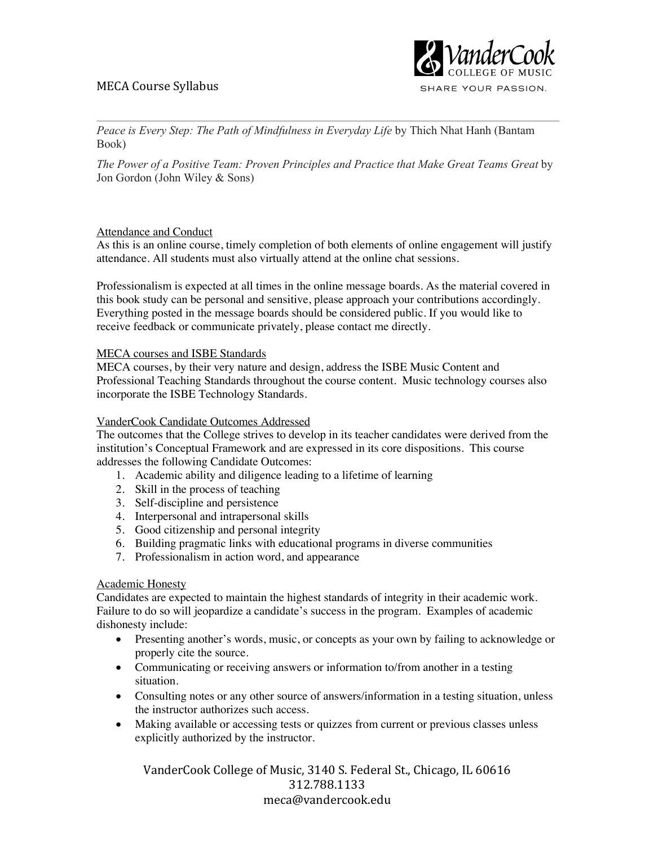## MECA Course Syllabus



SHARE YOUR PASSION.

*Peace is Every Step: The Path of Mindfulness in Everyday Life* by Thich Nhat Hanh (Bantam Book)

*The Power of a Positive Team: Proven Principles and Practice that Make Great Teams Great* by Jon Gordon (John Wiley & Sons)

### Attendance and Conduct

As this is an online course, timely completion of both elements of online engagement will justify attendance. All students must also virtually attend at the online chat sessions.

Professionalism is expected at all times in the online message boards. As the material covered in this book study can be personal and sensitive, please approach your contributions accordingly. Everything posted in the message boards should be considered public. If you would like to receive feedback or communicate privately, please contact me directly.

### MECA courses and ISBE Standards

MECA courses, by their very nature and design, address the ISBE Music Content and Professional Teaching Standards throughout the course content. Music technology courses also incorporate the ISBE Technology Standards.

### VanderCook Candidate Outcomes Addressed

The outcomes that the College strives to develop in its teacher candidates were derived from the institution's Conceptual Framework and are expressed in its core dispositions. This course addresses the following Candidate Outcomes:

- 1. Academic ability and diligence leading to a lifetime of learning
- 2. Skill in the process of teaching
- 3. Self-discipline and persistence
- 4. Interpersonal and intrapersonal skills
- 5. Good citizenship and personal integrity
- 6. Building pragmatic links with educational programs in diverse communities
- 7. Professionalism in action word, and appearance

#### Academic Honesty

Candidates are expected to maintain the highest standards of integrity in their academic work. Failure to do so will jeopardize a candidate's success in the program. Examples of academic dishonesty include:

- Presenting another's words, music, or concepts as your own by failing to acknowledge or properly cite the source.
- Communicating or receiving answers or information to/from another in a testing situation.
- Consulting notes or any other source of answers/information in a testing situation, unless the instructor authorizes such access.
- Making available or accessing tests or quizzes from current or previous classes unless explicitly authorized by the instructor.